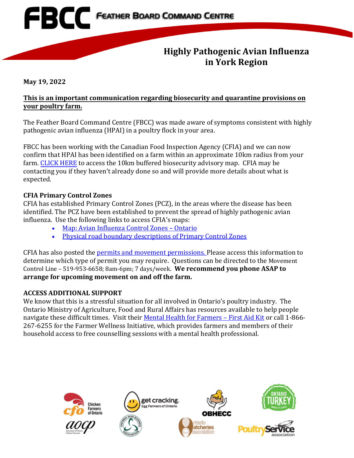# **EBCC** FEATHER BOARD COMMAND CENTRE

### **Highly Pathogenic Avian Influenza in York Region**

**May 19, 2022** 

#### **This is an important communication regarding biosecurity and quarantine provisions on your poultry farm.**

The Feather Board Command Centre (FBCC) was made aware of symptoms consistent with highly pathogenic avian influenza (HPAI) in a poultry flock in your area.

FBCC has been working with the Canadian Food Inspection Agency (CFIA) and we can now confirm that HPAI has been identified on a farm within an approximate 10km radius from your farm. [CLICK HERE](https://www.fbcc.ca/georgina_05-18-2022/public-map) to access the 10km buffered biosecurity advisory map. CFIA may be contacting you if they haven't already done so and will provide more details about what is expected.

#### **CFIA Primary Control Zones**

CFIA has established Primary Control Zones (PCZ), in the areas where the disease has been identified. The PCZ have been established to prevent the spread of highly pathogenic avian influenza. Use the following links to access CFIA's maps:

- [Map: Avian Influenza Control Zones Ontario](https://inspection.canada.ca/animal-health/terrestrial-animals/diseases/reportable/avian-influenza/response-to-detections-of-highly-pathogenic-avian-/ai-zones/eng/1648851134912/1648851359195)
- [Physical road boundary descriptions of Primary Control Zones](https://inspection.canada.ca/animal-health/terrestrial-animals/diseases/reportable/avian-influenza/hpai-in-canada/status-of-ongoing-avian-influenza-response-by-prov/eng/1640207916497/1640207916934)

CFIA has also posted the [permits and movement permissions.](https://inspection.canada.ca/eng/1648871137667/1648871138011) Please access this information to determine which type of permit you may require. Questions can be directed to the Movement Control Line – 519-953-6658; 8am-6pm; 7 days/week. **We recommend you phone ASAP to arrange for upcoming movement on and off the farm.**

#### **ACCESS ADDITIONAL SUPPORT**

We know that this is a stressful situation for all involved in Ontario's poultry industry. The Ontario Ministry of Agriculture, Food and Rural Affairs has resources available to help people navigate these difficult times. Visit their [Mental Health for Farmers – First Aid Kit](https://www.ontario.ca/page/mental-health-resources-for-farmers) or call 1-866-267-6255 for the Farmer Wellness Initiative, which provides farmers and members of their household access to free counselling sessions with a mental health professional.